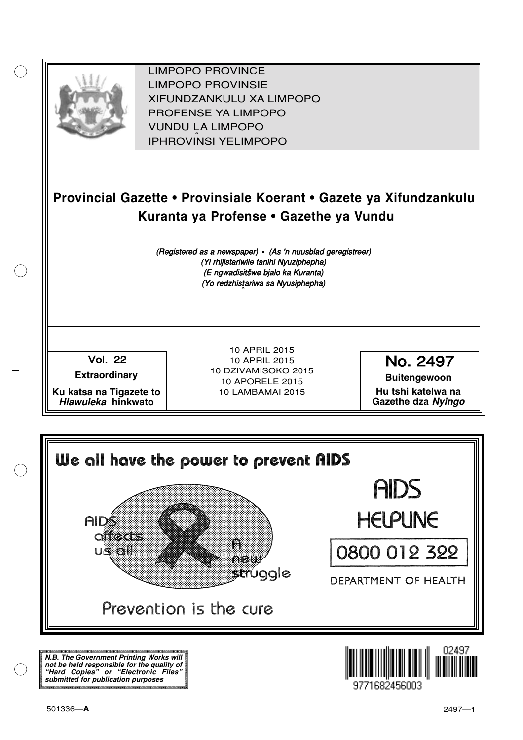

XIFUNDZANKULU XA LIMPOPO<br>PROFENCE XA LIMPORO PROFENSE YA LIMPOPO<br>WILDOLLA LIMPORO SOUTH A LIMPOPO<br>A LIPHROVINSI YELIMPOPO LIMPOPO PROVINCE LIMPOPO PROVINSIE IPHROVINSI YELIMPOPO

## **Provincial Gazette • Provinsiale Koerant • Gazete ya Xifundzankulu Kuranta ya Profense • Gazethe ya Vundu**

(Registered as a newspaper) • (As 'n nuusblad geregistreer) (Yi rhijistariwile tanihi Nyuziphepha) (E ngwadisitšwe bjalo ka Kuranta) (Yo redzhistariwa sa Nyusiphepha)

Vol.- 22

**Extraordinary**

**Ku katsa na Tigazete to Hlawuleka hinkwato**

10 APRIL 2015 10 APRIL 2015 10 DZIVAMISOKO 2015 10 APORELE 2015 10 LAMBAMAI 2015

No. 2497

**Buitengewoon Hu tshi katelwa na Gazethe dza Nyingo**



**N.B. The Government Printing Works will not be held responsible for the quality of "Hard Copies" or "Electronic Files" submitted for publication purposes**

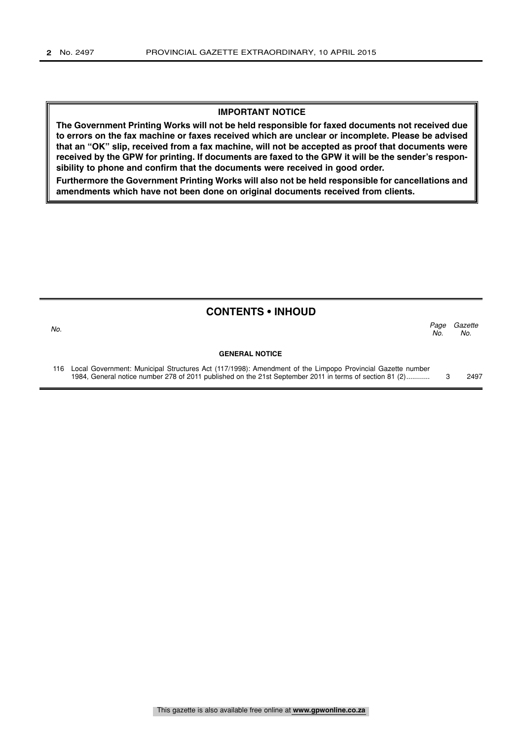#### **IMPORTANT NOTICE**

**The Government Printing Works will not be held responsible for faxed documents not received due to errors on the fax machine or faxes received which are unclear or incomplete. Please be advised that an "OK" slip, received from a fax machine, will not be accepted as proof that documents were received by the GPW for printing. If documents are faxed to the GPW it will be the sender's responsibility to phone and confirm that the documents were received in good order.**

**Furthermore the Government Printing Works will also not be held responsible for cancellations and amendments which have not been done on original documents received from clients.**

| <b>CONTENTS • INHOUD</b> |                                                                                                               |             |                |  |  |  |  |
|--------------------------|---------------------------------------------------------------------------------------------------------------|-------------|----------------|--|--|--|--|
| No.                      |                                                                                                               | Page<br>No. | Gazette<br>No. |  |  |  |  |
|                          | <b>GENERAL NOTICE</b>                                                                                         |             |                |  |  |  |  |
|                          | 116 Local Government: Municipal Structures Act (117/1998): Amendment of the Limpopo Provincial Gazette number |             |                |  |  |  |  |

1984, General notice number 278 of 2011 published on the 21st September 2011 in terms of section 81 (2)............ 3 2497

This gazette is also available free online at **www.gpwonline.co.za**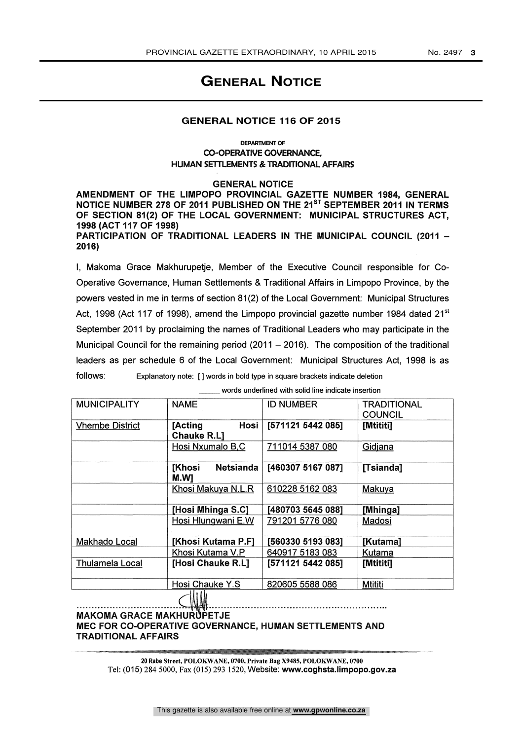### **GENERAL NOTICE**

#### **GENERAL NOTICE 116 OF 2015**

#### DEPARTMENT OF CO-OPERATIVE GOVERNANCE, HUMAN SETTLEMENTS & TRADITIONAL AFFAIRS

GENERAL NOTICE

AMENDMENT OF THE LIMPOPO PROVINCIAL GAZETTE NUMBER 1984, GENERAL NOTICE NUMBER 278 OF 2011 PUBLISHED ON THE 21<sup>ST</sup> SEPTEMBER 2011 IN TERMS OF SECTION 81(2) OF THE LOCAL GOVERNMENT: MUNICIPAL STRUCTURES ACT, 1998 (ACT 117 OF 1998) PARTICIPATION OF TRADITIONAL LEADERS IN THE MUNICIPAL COUNCIL (2011 -2016)

I, Makoma Grace Makhurupetje, Member of the Executive Council responsible for Co-Operative Governance, Human Settlements & Traditional Affairs in Limpopo Province, by the powers vested in me in terms of section 81(2) of the Local Government: Municipal Structures Act, 1998 (Act 117 of 1998), amend the Limpopo provincial gazette number 1984 dated 21<sup>st</sup> September 2011 by proclaiming the names of Traditional Leaders who may participate in the Municipal Council for the remaining period  $(2011 - 2016)$ . The composition of the traditional leaders as per schedule 6 of the Local Government: Municipal Structures Act, 1998 is as follows: Explanatory note: [ ] words in bold type in square brackets indicate deletion

words underlined with solid line indicate insertion

| <b>MUNICIPALITY</b>    | <b>NAME</b>                               | <b>ID NUMBER</b>  | <b>TRADITIONAL</b> |
|------------------------|-------------------------------------------|-------------------|--------------------|
|                        |                                           |                   | <b>COUNCIL</b>     |
| <b>Vhembe District</b> | Hosi<br>[Acting                           | [571121 5442 085] | <b>Mtititil</b>    |
|                        | <b>Chauke R.L1</b>                        |                   |                    |
|                        | Hosi Nxumalo B,C                          | 711014 5387 080   | Gidjana            |
|                        | <b>Netsianda</b><br><b>[Khosi</b><br>M.WI | [460307 5167 087] | [Tsianda]          |
|                        | Khosi Makuya N.L.R                        | 610228 5162 083   | Makuya             |
|                        | [Hosi Mhinga S.C]                         | [480703 5645 088] | [Mhinga]           |
|                        | Hosi Hlungwani E.W                        | 791201 5776 080   | Madosi             |
| Makhado Local          | [Khosi Kutama P.F]                        | [560330 5193 083] | <b>[Kutama]</b>    |
|                        | Khosi Kutama V.P                          | 640917 5183 083   | Kutama             |
| <b>Thulamela Local</b> | [Hosi Chauke R.L]                         | [571121 5442 085] | [Mtititi]          |
|                        | Hosi Chauke Y.S                           | 820605 5588 086   | Mtititi            |
|                        |                                           |                   |                    |
| <i></i>                |                                           |                   |                    |

**MAKOMA GRACE MAKHURUPETJE** MEC FOR CO-OPERATIVE GOVERNANCE, HUMAN SETTLEMENTS AND TRADITIONAL AFFAIRS

m.<br>1111 - Jan Lawrence, Amerikaansk politiker (d. 1111) 20 Rabe Street, POLOKWANE, 0700, Private Bag X9485, POLOKWANE, 0700 Tel: (015) 284 5000, Fax (015) 293 1520, Website: www.coghsta.Iimpopo.gov.za